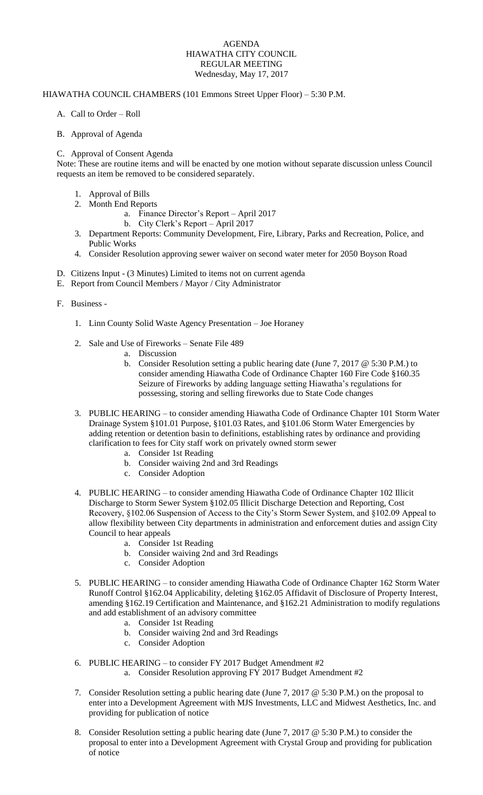## AGENDA HIAWATHA CITY COUNCIL REGULAR MEETING Wednesday, May 17, 2017

## HIAWATHA COUNCIL CHAMBERS (101 Emmons Street Upper Floor) – 5:30 P.M.

- A. Call to Order Roll
- B. Approval of Agenda

## C. Approval of Consent Agenda

Note: These are routine items and will be enacted by one motion without separate discussion unless Council requests an item be removed to be considered separately.

- 1. Approval of Bills
- 2. Month End Reports
	- a. Finance Director's Report April 2017
		- b. City Clerk's Report April 2017
- 3. Department Reports: Community Development, Fire, Library, Parks and Recreation, Police, and Public Works
- 4. Consider Resolution approving sewer waiver on second water meter for 2050 Boyson Road
- D. Citizens Input (3 Minutes) Limited to items not on current agenda
- E. Report from Council Members / Mayor / City Administrator
- F. Business
	- 1. Linn County Solid Waste Agency Presentation Joe Horaney
	- 2. Sale and Use of Fireworks Senate File 489
		- a. Discussion
		- b. Consider Resolution setting a public hearing date (June 7, 2017 @ 5:30 P.M.) to consider amending Hiawatha Code of Ordinance Chapter 160 Fire Code §160.35 Seizure of Fireworks by adding language setting Hiawatha's regulations for possessing, storing and selling fireworks due to State Code changes
	- 3. PUBLIC HEARING to consider amending Hiawatha Code of Ordinance Chapter 101 Storm Water Drainage System §101.01 Purpose, §101.03 Rates, and §101.06 Storm Water Emergencies by adding retention or detention basin to definitions, establishing rates by ordinance and providing clarification to fees for City staff work on privately owned storm sewer
		- a. Consider 1st Reading
		- b. Consider waiving 2nd and 3rd Readings
		- c. Consider Adoption
	- 4. PUBLIC HEARING to consider amending Hiawatha Code of Ordinance Chapter 102 Illicit Discharge to Storm Sewer System §102.05 Illicit Discharge Detection and Reporting, Cost Recovery, §102.06 Suspension of Access to the City's Storm Sewer System, and §102.09 Appeal to allow flexibility between City departments in administration and enforcement duties and assign City Council to hear appeals
		- a. Consider 1st Reading
		- b. Consider waiving 2nd and 3rd Readings
		- c. Consider Adoption
	- 5. PUBLIC HEARING to consider amending Hiawatha Code of Ordinance Chapter 162 Storm Water Runoff Control §162.04 Applicability, deleting §162.05 Affidavit of Disclosure of Property Interest, amending §162.19 Certification and Maintenance, and §162.21 Administration to modify regulations and add establishment of an advisory committee
		- a. Consider 1st Reading
		- b. Consider waiving 2nd and 3rd Readings
		- c. Consider Adoption
	- 6. PUBLIC HEARING to consider FY 2017 Budget Amendment #2
		- a. Consider Resolution approving FY 2017 Budget Amendment #2
	- 7. Consider Resolution setting a public hearing date (June 7, 2017 @ 5:30 P.M.) on the proposal to enter into a Development Agreement with MJS Investments, LLC and Midwest Aesthetics, Inc. and providing for publication of notice
	- 8. Consider Resolution setting a public hearing date (June 7, 2017 @ 5:30 P.M.) to consider the proposal to enter into a Development Agreement with Crystal Group and providing for publication of notice